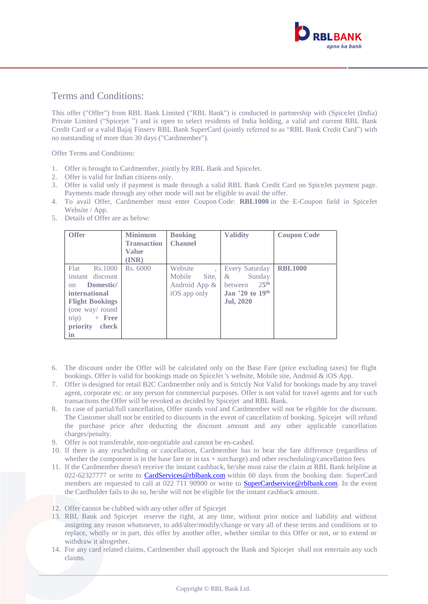

## Terms and Conditions:

This offer ("Offer") from RBL Bank Limited ("RBL Bank") is conducted in partnership with (SpiceJet (India) Private Limited ("Spicejet ") and is open to select residents of India holding, a valid and current RBL Bank Credit Card or a valid Bajaj Finserv RBL Bank SuperCard (jointly referred to as "RBL Bank Credit Card") with no outstanding of more than 30 days ("Cardmember").

Offer Terms and Conditions:

- 1. Offer is brought to Cardmember, jointly by RBL Bank and SpiceJet.
- 2. Offer is valid for Indian citizens only.
- 3. Offer is valid only if payment is made through a valid RBL Bank Credit Card on SpiceJet payment page. Payments made through any other mode will not be eligible to avail the offer.
- 4. To avail Offer, Cardmember must enter Coupon Code: **RBL1000** in the E-Coupon field in SpiceJet Website / App.
- 5. Details of Offer are as below:

| <b>Offer</b>           | <b>Minimum</b>     | <b>Booking</b>  | <b>Validity</b>             | <b>Coupon Code</b> |
|------------------------|--------------------|-----------------|-----------------------------|--------------------|
|                        | <b>Transaction</b> | <b>Channel</b>  |                             |                    |
|                        | Value              |                 |                             |                    |
|                        | $(\mathbf{INR})$   |                 |                             |                    |
| <b>Flat</b><br>Rs.1000 | Rs. 6000           | Website         | Every Saturday              | <b>RBL1000</b>     |
| instant discount       |                    | Mobile<br>Site, | Sunday<br>$\&$              |                    |
| Domestic/<br>$\alpha$  |                    | Android App &   | 25 <sup>th</sup><br>between |                    |
| international          |                    | iOS app only    | Jan '20 to 19th             |                    |
| <b>Flight Bookings</b> |                    |                 | <b>Jul, 2020</b>            |                    |
| (one way/round         |                    |                 |                             |                    |
| $+$ Free<br>trip)      |                    |                 |                             |                    |
| priority<br>check      |                    |                 |                             |                    |
| in                     |                    |                 |                             |                    |

- 6. The discount under the Offer will be calculated only on the Base Fare (price excluding taxes) for flight bookings. Offer is valid for bookings made on SpiceJet 's website, Mobile site, Android & iOS App.
- 7. Offer is designed for retail B2C Cardmember only and is Strictly Not Valid for bookings made by any travel agent, corporate etc. or any person for commercial purposes. Offer is not valid for travel agents and for such transactions the Offer will be revoked as decided by Spicejet and RBL Bank.
- 8. In case of partial/full cancellation, Offer stands void and Cardmember will not be eligible for the discount. The Customer shall not be entitled to discounts in the event of cancellation of booking. Spicejet will refund the purchase price after deducting the discount amount and any other applicable cancellation charges/penalty.
- 9. Offer is not transferable, non-negotiable and cannot be en-cashed.
- 10. If there is any rescheduling or cancellation, Cardmember has to bear the fare difference (regardless of whether the component is in the base fare or in tax  $+$  surcharge) and other rescheduling/cancellation fees
- 11. If the Cardmember doesn't receive the instant cashback, he/she must raise the claim at RBL Bank helpline at 022-62327777 or write to **CardServices@rblbank.com** within 60 days from the booking date. SuperCard members are requested to call at 022 711 90900 or write to **SuperCardservice@rblbank.com**. In the event the Cardholder fails to do so, he/she will not be eligible for the instant cashback amount.
- 12. Offer cannot be clubbed with any other offer of Spicejet
- 13. RBL Bank and Spicejet reserve the right, at any time, without prior notice and liability and without assigning any reason whatsoever, to add/alter/modify/change or vary all of these terms and conditions or to replace, wholly or in part, this offer by another offer, whether similar to this Offer or not, or to extend or withdraw it altogether.
- 14. For any card related claims, Cardmember shall approach the Bank and Spicejet shall not entertain any such claims.